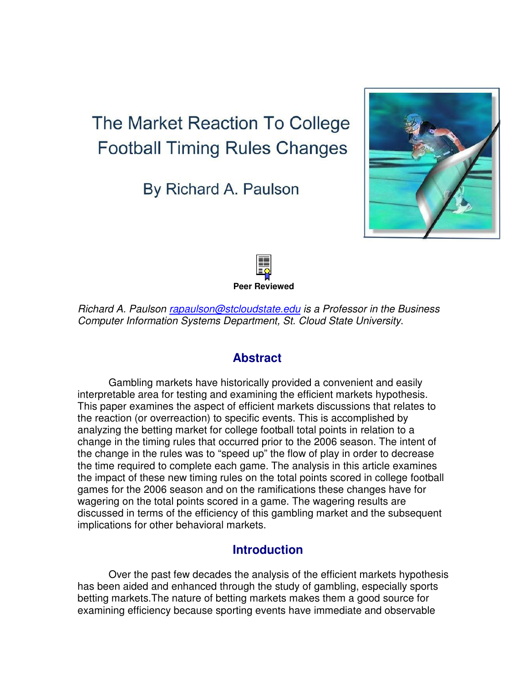# **The Market Reaction To College Football Timing Rules Changes**

By Richard A. Paulson





Richard A. Paulson rapaulson@stcloudstate.edu is a Professor in the Business Computer Information Systems Department, St. Cloud State University.

# **Abstract**

Gambling markets have historically provided a convenient and easily interpretable area for testing and examining the efficient markets hypothesis. This paper examines the aspect of efficient markets discussions that relates to the reaction (or overreaction) to specific events. This is accomplished by analyzing the betting market for college football total points in relation to a change in the timing rules that occurred prior to the 2006 season. The intent of the change in the rules was to "speed up" the flow of play in order to decrease the time required to complete each game. The analysis in this article examines the impact of these new timing rules on the total points scored in college football games for the 2006 season and on the ramifications these changes have for wagering on the total points scored in a game. The wagering results are discussed in terms of the efficiency of this gambling market and the subsequent implications for other behavioral markets.

# **Introduction**

Over the past few decades the analysis of the efficient markets hypothesis has been aided and enhanced through the study of gambling, especially sports betting markets.The nature of betting markets makes them a good source for examining efficiency because sporting events have immediate and observable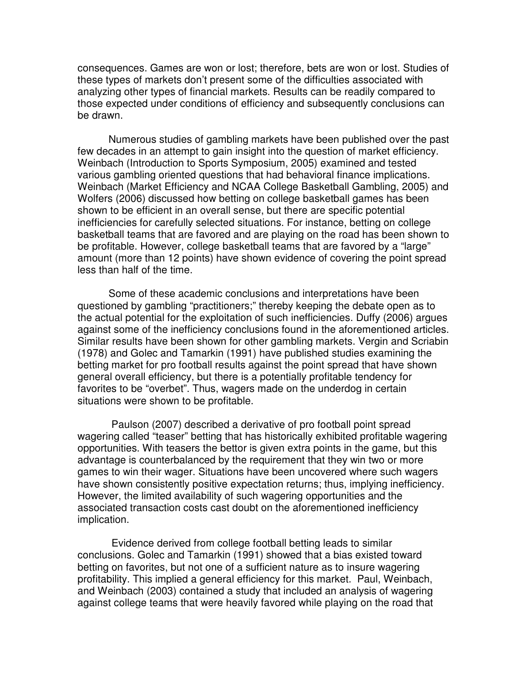consequences. Games are won or lost; therefore, bets are won or lost. Studies of these types of markets don't present some of the difficulties associated with analyzing other types of financial markets. Results can be readily compared to those expected under conditions of efficiency and subsequently conclusions can be drawn.

Numerous studies of gambling markets have been published over the past few decades in an attempt to gain insight into the question of market efficiency. Weinbach (Introduction to Sports Symposium, 2005) examined and tested various gambling oriented questions that had behavioral finance implications. Weinbach (Market Efficiency and NCAA College Basketball Gambling, 2005) and Wolfers (2006) discussed how betting on college basketball games has been shown to be efficient in an overall sense, but there are specific potential inefficiencies for carefully selected situations. For instance, betting on college basketball teams that are favored and are playing on the road has been shown to be profitable. However, college basketball teams that are favored by a "large" amount (more than 12 points) have shown evidence of covering the point spread less than half of the time.

Some of these academic conclusions and interpretations have been questioned by gambling "practitioners;" thereby keeping the debate open as to the actual potential for the exploitation of such inefficiencies. Duffy (2006) argues against some of the inefficiency conclusions found in the aforementioned articles. Similar results have been shown for other gambling markets. Vergin and Scriabin (1978) and Golec and Tamarkin (1991) have published studies examining the betting market for pro football results against the point spread that have shown general overall efficiency, but there is a potentially profitable tendency for favorites to be "overbet". Thus, wagers made on the underdog in certain situations were shown to be profitable.

 Paulson (2007) described a derivative of pro football point spread wagering called "teaser" betting that has historically exhibited profitable wagering opportunities. With teasers the bettor is given extra points in the game, but this advantage is counterbalanced by the requirement that they win two or more games to win their wager. Situations have been uncovered where such wagers have shown consistently positive expectation returns; thus, implying inefficiency. However, the limited availability of such wagering opportunities and the associated transaction costs cast doubt on the aforementioned inefficiency implication.

 Evidence derived from college football betting leads to similar conclusions. Golec and Tamarkin (1991) showed that a bias existed toward betting on favorites, but not one of a sufficient nature as to insure wagering profitability. This implied a general efficiency for this market. Paul, Weinbach, and Weinbach (2003) contained a study that included an analysis of wagering against college teams that were heavily favored while playing on the road that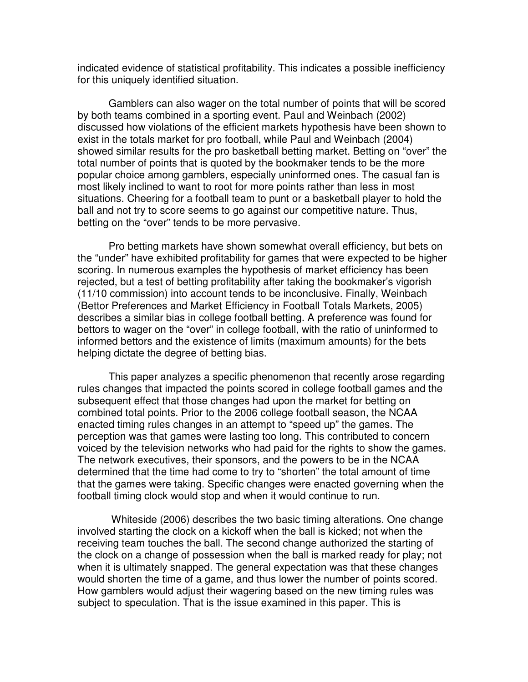indicated evidence of statistical profitability. This indicates a possible inefficiency for this uniquely identified situation.

Gamblers can also wager on the total number of points that will be scored by both teams combined in a sporting event. Paul and Weinbach (2002) discussed how violations of the efficient markets hypothesis have been shown to exist in the totals market for pro football, while Paul and Weinbach (2004) showed similar results for the pro basketball betting market. Betting on "over" the total number of points that is quoted by the bookmaker tends to be the more popular choice among gamblers, especially uninformed ones. The casual fan is most likely inclined to want to root for more points rather than less in most situations. Cheering for a football team to punt or a basketball player to hold the ball and not try to score seems to go against our competitive nature. Thus, betting on the "over" tends to be more pervasive.

Pro betting markets have shown somewhat overall efficiency, but bets on the "under" have exhibited profitability for games that were expected to be higher scoring. In numerous examples the hypothesis of market efficiency has been rejected, but a test of betting profitability after taking the bookmaker's vigorish (11/10 commission) into account tends to be inconclusive. Finally, Weinbach (Bettor Preferences and Market Efficiency in Football Totals Markets, 2005) describes a similar bias in college football betting. A preference was found for bettors to wager on the "over" in college football, with the ratio of uninformed to informed bettors and the existence of limits (maximum amounts) for the bets helping dictate the degree of betting bias.

This paper analyzes a specific phenomenon that recently arose regarding rules changes that impacted the points scored in college football games and the subsequent effect that those changes had upon the market for betting on combined total points. Prior to the 2006 college football season, the NCAA enacted timing rules changes in an attempt to "speed up" the games. The perception was that games were lasting too long. This contributed to concern voiced by the television networks who had paid for the rights to show the games. The network executives, their sponsors, and the powers to be in the NCAA determined that the time had come to try to "shorten" the total amount of time that the games were taking. Specific changes were enacted governing when the football timing clock would stop and when it would continue to run.

 Whiteside (2006) describes the two basic timing alterations. One change involved starting the clock on a kickoff when the ball is kicked; not when the receiving team touches the ball. The second change authorized the starting of the clock on a change of possession when the ball is marked ready for play; not when it is ultimately snapped. The general expectation was that these changes would shorten the time of a game, and thus lower the number of points scored. How gamblers would adjust their wagering based on the new timing rules was subject to speculation. That is the issue examined in this paper. This is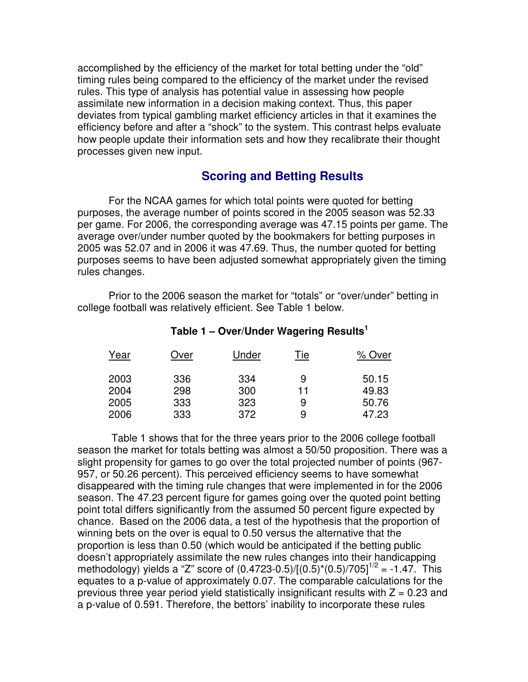accomplished by the efficiency of the market for total betting under the "old" timing rules being compared to the efficiency of the market under the revised rules. This type of analysis has potential value in assessing how people assimilate new information in a decision making context. Thus, this paper deviates from typical gambling market efficiency articles in that it examines the efficiency before and after a "shock" to the system. This contrast helps evaluate how people update their information sets and how they recalibrate their thought processes given new input.

### **Scoring and Betting Results**

For the NCAA games for which total points were quoted for betting purposes, the average number of points scored in the 2005 season was 52.33 per game. For 2006, the corresponding average was 47.15 points per game. The average over/under number quoted by the bookmakers for betting purposes in 2005 was 52.07 and in 2006 it was 47.69. Thus, the number quoted for betting purposes seems to have been adjusted somewhat appropriately given the timing rules changes.

Prior to the 2006 season the market for "totals" or "over/under" betting in college football was relatively efficient. See Table 1 below.

| Year | Over | Under | Tie | % Over |
|------|------|-------|-----|--------|
| 2003 | 336  | 334   | 9   | 50.15  |
| 2004 | 298  | 300   | 11  | 49.83  |
| 2005 | 333  | 323   | 9   | 50.76  |
| 2006 | 333  | 372   | 9   | 47.23  |

#### **Table 1 – Over/Under Wagering Results<sup>1</sup>**

 Table 1 shows that for the three years prior to the 2006 college football season the market for totals betting was almost a 50/50 proposition. There was a slight propensity for games to go over the total projected number of points (967- 957, or 50.26 percent). This perceived efficiency seems to have somewhat disappeared with the timing rule changes that were implemented in for the 2006 season. The 47.23 percent figure for games going over the quoted point betting point total differs significantly from the assumed 50 percent figure expected by chance. Based on the 2006 data, a test of the hypothesis that the proportion of winning bets on the over is equal to 0.50 versus the alternative that the proportion is less than 0.50 (which would be anticipated if the betting public doesn't appropriately assimilate the new rules changes into their handicapping methodology) yields a "Z" score of  $(0.4723-0.5)/[(0.5)^*(0.5)/705]^{1/2} = -1.47$ . This equates to a p-value of approximately 0.07. The comparable calculations for the previous three year period yield statistically insignificant results with  $Z = 0.23$  and a p-value of 0.591. Therefore, the bettors' inability to incorporate these rules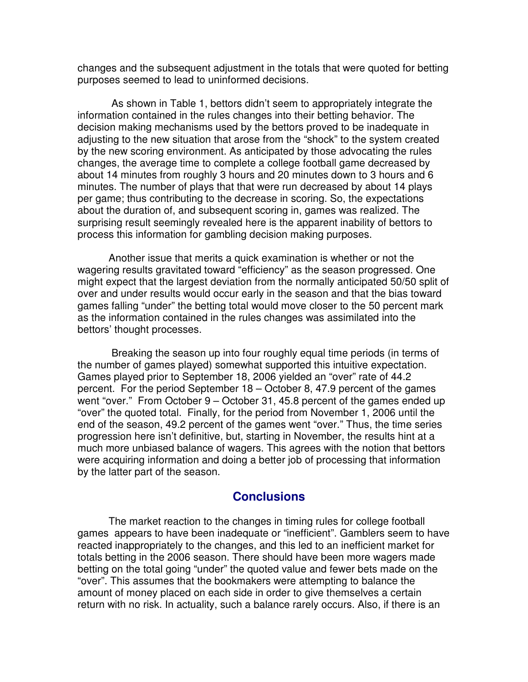changes and the subsequent adjustment in the totals that were quoted for betting purposes seemed to lead to uninformed decisions.

 As shown in Table 1, bettors didn't seem to appropriately integrate the information contained in the rules changes into their betting behavior. The decision making mechanisms used by the bettors proved to be inadequate in adjusting to the new situation that arose from the "shock" to the system created by the new scoring environment. As anticipated by those advocating the rules changes, the average time to complete a college football game decreased by about 14 minutes from roughly 3 hours and 20 minutes down to 3 hours and 6 minutes. The number of plays that that were run decreased by about 14 plays per game; thus contributing to the decrease in scoring. So, the expectations about the duration of, and subsequent scoring in, games was realized. The surprising result seemingly revealed here is the apparent inability of bettors to process this information for gambling decision making purposes.

Another issue that merits a quick examination is whether or not the wagering results gravitated toward "efficiency" as the season progressed. One might expect that the largest deviation from the normally anticipated 50/50 split of over and under results would occur early in the season and that the bias toward games falling "under" the betting total would move closer to the 50 percent mark as the information contained in the rules changes was assimilated into the bettors' thought processes.

 Breaking the season up into four roughly equal time periods (in terms of the number of games played) somewhat supported this intuitive expectation. Games played prior to September 18, 2006 yielded an "over" rate of 44.2 percent. For the period September 18 – October 8, 47.9 percent of the games went "over." From October 9 – October 31, 45.8 percent of the games ended up "over" the quoted total. Finally, for the period from November 1, 2006 until the end of the season, 49.2 percent of the games went "over." Thus, the time series progression here isn't definitive, but, starting in November, the results hint at a much more unbiased balance of wagers. This agrees with the notion that bettors were acquiring information and doing a better job of processing that information by the latter part of the season.

#### **Conclusions**

The market reaction to the changes in timing rules for college football games appears to have been inadequate or "inefficient". Gamblers seem to have reacted inappropriately to the changes, and this led to an inefficient market for totals betting in the 2006 season. There should have been more wagers made betting on the total going "under" the quoted value and fewer bets made on the "over". This assumes that the bookmakers were attempting to balance the amount of money placed on each side in order to give themselves a certain return with no risk. In actuality, such a balance rarely occurs. Also, if there is an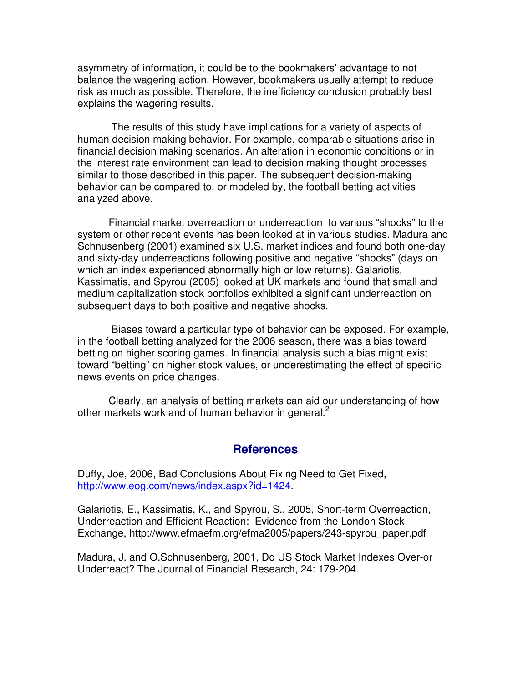asymmetry of information, it could be to the bookmakers' advantage to not balance the wagering action. However, bookmakers usually attempt to reduce risk as much as possible. Therefore, the inefficiency conclusion probably best explains the wagering results.

 The results of this study have implications for a variety of aspects of human decision making behavior. For example, comparable situations arise in financial decision making scenarios. An alteration in economic conditions or in the interest rate environment can lead to decision making thought processes similar to those described in this paper. The subsequent decision-making behavior can be compared to, or modeled by, the football betting activities analyzed above.

Financial market overreaction or underreaction to various "shocks" to the system or other recent events has been looked at in various studies. Madura and Schnusenberg (2001) examined six U.S. market indices and found both one-day and sixty-day underreactions following positive and negative "shocks" (days on which an index experienced abnormally high or low returns). Galariotis, Kassimatis, and Spyrou (2005) looked at UK markets and found that small and medium capitalization stock portfolios exhibited a significant underreaction on subsequent days to both positive and negative shocks.

 Biases toward a particular type of behavior can be exposed. For example, in the football betting analyzed for the 2006 season, there was a bias toward betting on higher scoring games. In financial analysis such a bias might exist toward "betting" on higher stock values, or underestimating the effect of specific news events on price changes.

Clearly, an analysis of betting markets can aid our understanding of how other markets work and of human behavior in general.<sup>2</sup>

#### **References**

Duffy, Joe, 2006, Bad Conclusions About Fixing Need to Get Fixed, http://www.eog.com/news/index.aspx?id=1424.

Galariotis, E., Kassimatis, K., and Spyrou, S., 2005, Short-term Overreaction, Underreaction and Efficient Reaction: Evidence from the London Stock Exchange, http://www.efmaefm.org/efma2005/papers/243-spyrou\_paper.pdf

Madura, J. and O.Schnusenberg, 2001, Do US Stock Market Indexes Over-or Underreact? The Journal of Financial Research, 24: 179-204.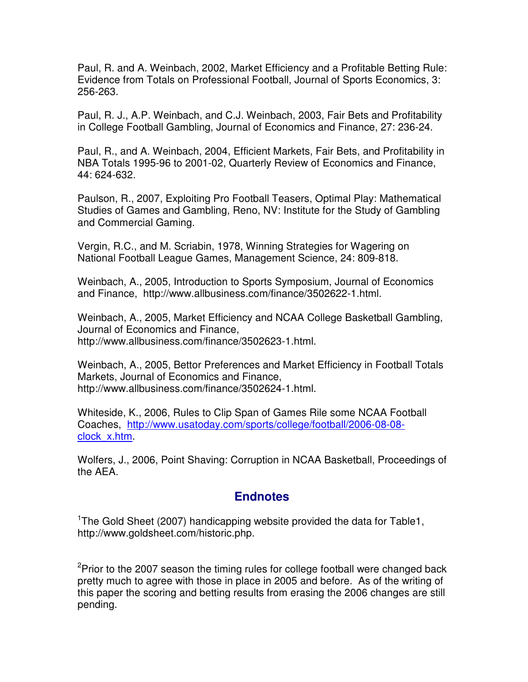Paul, R. and A. Weinbach, 2002, Market Efficiency and a Profitable Betting Rule: Evidence from Totals on Professional Football, Journal of Sports Economics, 3: 256-263.

Paul, R. J., A.P. Weinbach, and C.J. Weinbach, 2003, Fair Bets and Profitability in College Football Gambling, Journal of Economics and Finance, 27: 236-24.

Paul, R., and A. Weinbach, 2004, Efficient Markets, Fair Bets, and Profitability in NBA Totals 1995-96 to 2001-02, Quarterly Review of Economics and Finance, 44: 624-632.

Paulson, R., 2007, Exploiting Pro Football Teasers, Optimal Play: Mathematical Studies of Games and Gambling, Reno, NV: Institute for the Study of Gambling and Commercial Gaming.

Vergin, R.C., and M. Scriabin, 1978, Winning Strategies for Wagering on National Football League Games, Management Science, 24: 809-818.

Weinbach, A., 2005, Introduction to Sports Symposium, Journal of Economics and Finance, http://www.allbusiness.com/finance/3502622-1.html.

Weinbach, A., 2005, Market Efficiency and NCAA College Basketball Gambling, Journal of Economics and Finance, http://www.allbusiness.com/finance/3502623-1.html.

Weinbach, A., 2005, Bettor Preferences and Market Efficiency in Football Totals Markets, Journal of Economics and Finance, http://www.allbusiness.com/finance/3502624-1.html.

Whiteside, K., 2006, Rules to Clip Span of Games Rile some NCAA Football Coaches, http://www.usatoday.com/sports/college/football/2006-08-08 clock\_x.htm.

Wolfers, J., 2006, Point Shaving: Corruption in NCAA Basketball, Proceedings of the AEA.

# **Endnotes**

<sup>1</sup>The Gold Sheet (2007) handicapping website provided the data for Table1, http://www.goldsheet.com/historic.php.

 $2P$  Prior to the 2007 season the timing rules for college football were changed back pretty much to agree with those in place in 2005 and before. As of the writing of this paper the scoring and betting results from erasing the 2006 changes are still pending.